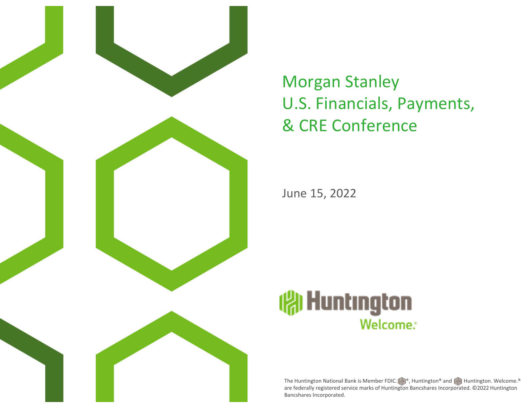

# Morgan Stanley U.S. Financials, Payments, & CRE Conference

June 15, 2022



The Huntington National Bank is Member FDIC.  $||\cdot||^{\circ}$ , Huntington® and  $||\cdot||$  Huntington. Welcome. are federally registered service marks of Huntington Bancshares Incorporated. ©2022 Huntington Bancshares Incorporated.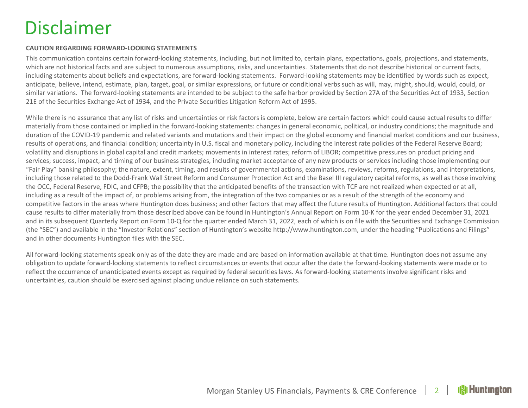# Disclaimer

#### **CAUTION REGARDING FORWARD‐LOOKING STATEMENTS**

This communication contains certain forward‐looking statements, including, but not limited to, certain plans, expectations, goals, projections, and statements, which are not historical facts and are subject to numerous assumptions, risks, and uncertainties. Statements that do not describe historical or current facts, including statements about beliefs and expectations, are forward‐looking statements. Forward‐looking statements may be identified by words such as expect, anticipate, believe, intend, estimate, plan, target, goal, or similar expressions, or future or conditional verbs such as will, may, might, should, would, could, or similar variations. The forward‐looking statements are intended to be subject to the safe harbor provided by Section 27A of the Securities Act of 1933, Section 21E of the Securities Exchange Act of 1934, and the Private Securities Litigation Reform Act of 1995.

While there is no assurance that any list of risks and uncertainties or risk factors is complete, below are certain factors which could cause actual results to differ materially from those contained or implied in the forward‐looking statements: changes in general economic, political, or industry conditions; the magnitude and duration of the COVID‐19 pandemic and related variants and mutations and their impact on the global economy and financial market conditions and our business, results of operations, and financial condition; uncertainty in U.S. fiscal and monetary policy, including the interest rate policies of the Federal Reserve Board; volatility and disruptions in global capital and credit markets; movements in interest rates; reform of LIBOR; competitive pressures on product pricing and services; success, impact, and timing of our business strategies, including market acceptance of any new products or services including those implementing our "Fair Play" banking philosophy; the nature, extent, timing, and results of governmental actions, examinations, reviews, reforms, regulations, and interpretations, including those related to the Dodd‐Frank Wall Street Reform and Consumer Protection Act and the Basel III regulatory capital reforms, as well as those involving the OCC, Federal Reserve, FDIC, and CFPB; the possibility that the anticipated benefits of the transaction with TCF are not realized when expected or at all, including as <sup>a</sup> result of the impact of, or problems arising from, the integration of the two companies or as <sup>a</sup> result of the strength of the economy and competitive factors in the areas where Huntington does business; and other factors that may affect the future results of Huntington. Additional factors that could cause results to differ materially from those described above can be found in Huntington's Annual Report on Form 10‐K for the year ended December 31, 2021 and in its subsequent Quarterly Report on Form 10‐Q for the quarter ended March 31, 2022, each of which is on file with the Securities and Exchange Commission (the "SEC") and available in the "Investor Relations" section of Huntington's website http://www.huntington.com, under the heading "Publications and Filings" and in other documents Huntington files with the SEC.

All forward‐looking statements speak only as of the date they are made and are based on information available at that time. Huntington does not assume any obligation to update forward‐looking statements to reflect circumstances or events that occur after the date the forward‐looking statements were made or to reflect the occurrence of unanticipated events except as required by federal securities laws. As forward‐looking statements involve significant risks and uncertainties, caution should be exercised against placing undue reliance on such statements.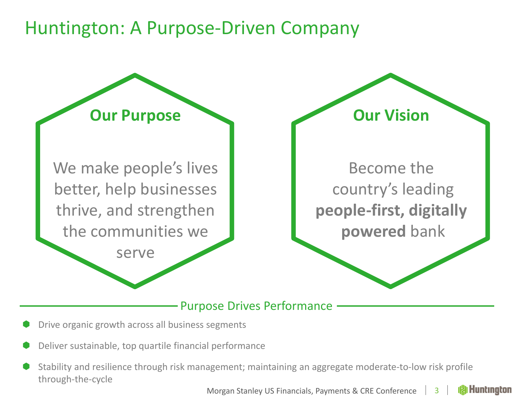#### Huntington: A Purpose‐Driven Company



#### Purpose Drives Performance

- 0 Drive organic growth across all business segments
- O Deliver sustainable, top quartile financial performance
- 0 Stability and resilience through risk management; maintaining an aggregate moderate‐to‐low risk profile through‐the‐cycle

**Huntinaton** Morgan Stanley US Financials, Payments & CRE Conference 3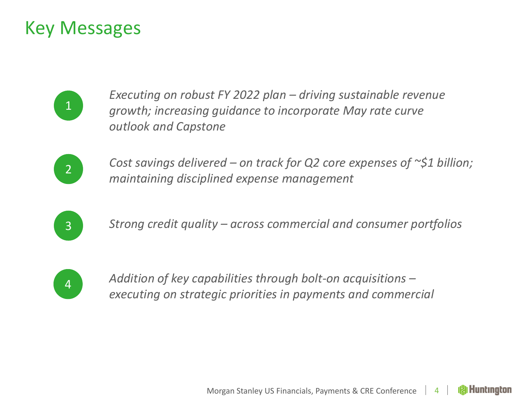#### Key Messages

1

*Executing on robust FY 2022 plan – driving sustainable revenue growth; increasing guidance to incorporate May rate curve outlook and Capstone*



*Cost savings delivered – on track for Q2 core expenses of ~\$1 billion; maintaining disciplined expense management*



*Strong credit quality – across commercial and consumer portfolios*



 *Addition of key capabilities through bolt‐on acquisitions – executing on strategic priorities in payments and commercial*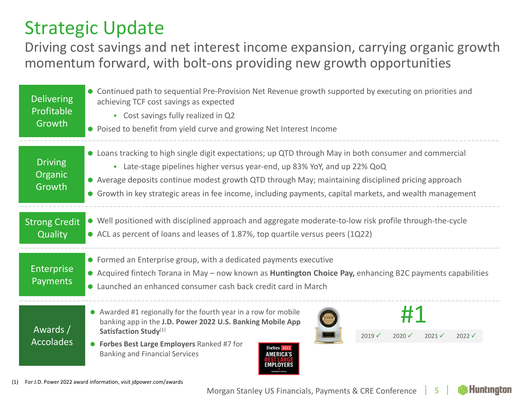# Strategic Update

Driving cost savings and net interest income expansion, carrying organic growth momentum forward, with bolt‐ons providing new growth opportunities

| <b>Delivering</b><br>Profitable<br>Growth | • Continued path to sequential Pre-Provision Net Revenue growth supported by executing on priorities and<br>achieving TCF cost savings as expected<br>• Cost savings fully realized in Q2<br>• Poised to benefit from yield curve and growing Net Interest Income                                                                                                                                       |  |  |  |  |  |
|-------------------------------------------|---------------------------------------------------------------------------------------------------------------------------------------------------------------------------------------------------------------------------------------------------------------------------------------------------------------------------------------------------------------------------------------------------------|--|--|--|--|--|
| <b>Driving</b><br>Organic<br>Growth       | • Loans tracking to high single digit expectations; up QTD through May in both consumer and commercial<br>• Late-stage pipelines higher versus year-end, up 83% YoY, and up 22% QoQ<br>• Average deposits continue modest growth QTD through May; maintaining disciplined pricing approach<br>• Growth in key strategic areas in fee income, including payments, capital markets, and wealth management |  |  |  |  |  |
| <b>Strong Credit</b><br>Quality           | • Well positioned with disciplined approach and aggregate moderate-to-low risk profile through-the-cycle<br>• ACL as percent of loans and leases of 1.87%, top quartile versus peers (1Q22)                                                                                                                                                                                                             |  |  |  |  |  |
| Enterprise<br>Payments                    | • Formed an Enterprise group, with a dedicated payments executive<br>• Acquired fintech Torana in May - now known as <b>Huntington Choice Pay</b> , enhancing B2C payments capabilities<br>• Launched an enhanced consumer cash back credit card in March                                                                                                                                               |  |  |  |  |  |
| Awards /<br><b>Accolades</b>              | • Awarded #1 regionally for the fourth year in a row for mobile<br>banking app in the J.D. Power 2022 U.S. Banking Mobile App<br>Satisfaction Study(1)<br>$2021 \checkmark$<br>$2019 \checkmark$<br>$2020 \checkmark$<br>$2022 \checkmark$<br>• Forbes Best Large Employers Ranked #7 for<br>orbes 202<br><b>Banking and Financial Services</b><br><b>MERICA'S</b><br><b>MPI OYFRS</b>                  |  |  |  |  |  |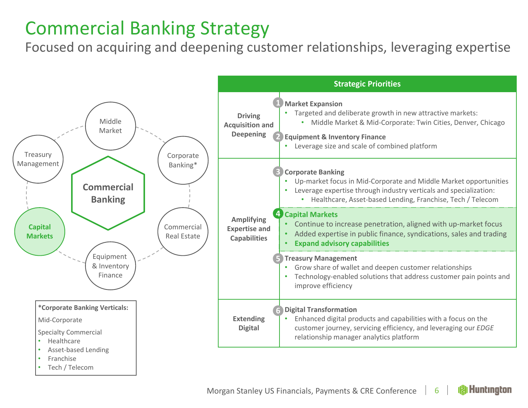# Commercial Banking Strategy

Focused on acquiring and deepening customer relationships, leveraging expertise

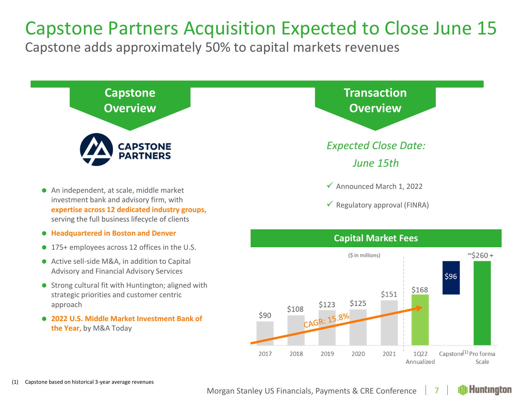#### Capstone Partners Acquisition Expected to Close June 15

Capstone adds approximately 50% to capital markets revenues

![](_page_6_Figure_2.jpeg)

- 175+ employees across 12 offices in the U.S.
- Active sell-side M&A, in addition to Capital Advisory and Financial Advisory Services
- Strong cultural fit with Huntington; aligned with strategic priorities and customer centric approach
- **2022 U.S. Middle Market Investment Bank of the Year,** by M&A Today

![](_page_6_Figure_7.jpeg)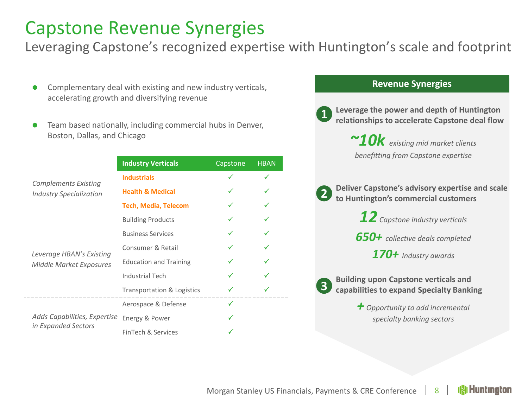#### Capstone Revenue Synergies

Leveraging Capstone's recognized expertise with Huntington's scale and footprint

- **Complementary deal with existing and new industry verticals, The Complementary deal with existing and new industry verticals,** accelerating growth and diversifying revenue
- 0 Team based nationally, including commercial hubs in Denver, Boston, Dallas, and Chicago

|  |                                                               | <b>Industry Verticals</b>     | Capstone | <b>HBAN</b> |
|--|---------------------------------------------------------------|-------------------------------|----------|-------------|
|  | <b>Complements Existing</b><br><b>Industry Specialization</b> | <b>Industrials</b>            |          |             |
|  |                                                               | <b>Health &amp; Medical</b>   |          |             |
|  |                                                               | <b>Tech, Media, Telecom</b>   |          |             |
|  |                                                               | <b>Building Products</b>      | ✓        |             |
|  | Leverage HBAN's Existing<br><b>Middle Market Exposures</b>    | <b>Business Services</b>      |          |             |
|  |                                                               | Consumer & Retail             |          |             |
|  |                                                               | <b>Education and Training</b> |          |             |
|  |                                                               | <b>Industrial Tech</b>        |          |             |
|  |                                                               | Transportation & Logistics    |          |             |
|  | Adds Capabilities, Expertise                                  | Aerospace & Defense           |          |             |
|  |                                                               | Energy & Power                |          |             |
|  | in Expanded Sectors                                           | FinTech & Services            |          |             |

#### **Revenue**

**Leverage the power and depth of Huntington relationships to accelerate Capstone deal flow 1**

> *existing mid market clients benefitting from Capstone expertise*

**Deliver Capstone's advisory expertise and scale to Huntington's commercial customers 2**

*12 Capstone industry verticals*

*650+ collective deals completed*

*170+ Industry awards*

**Building upon Capstone verticals and capabilities to expand Specialty Banking 3**

> *+ Opportunity to add incremental specialty banking sectors*